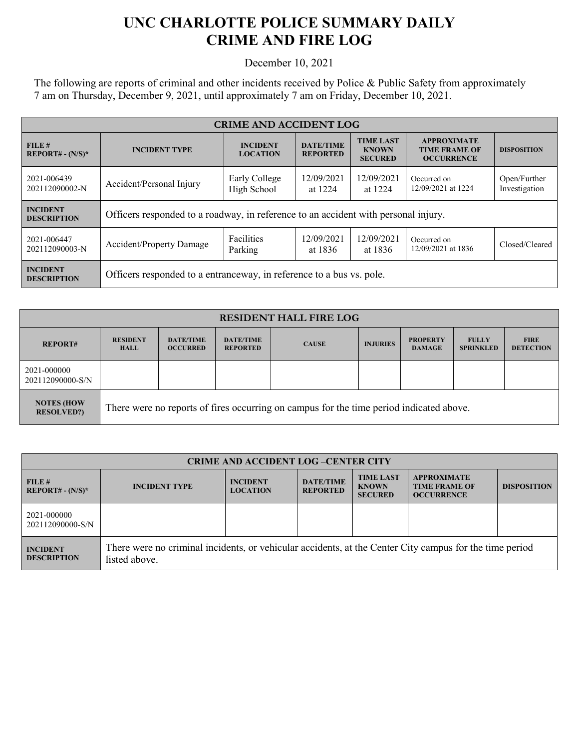## **UNC CHARLOTTE POLICE SUMMARY DAILY CRIME AND FIRE LOG**

December 10, 2021

The following are reports of criminal and other incidents received by Police & Public Safety from approximately 7 am on Thursday, December 9, 2021, until approximately 7 am on Friday, December 10, 2021.

| <b>CRIME AND ACCIDENT LOG</b>         |                                                                                    |                                    |                                     |                                                    |                                                                 |                               |  |
|---------------------------------------|------------------------------------------------------------------------------------|------------------------------------|-------------------------------------|----------------------------------------------------|-----------------------------------------------------------------|-------------------------------|--|
| FILE#<br>$REPORT# - (N/S)*$           | <b>INCIDENT TYPE</b>                                                               | <b>INCIDENT</b><br><b>LOCATION</b> | <b>DATE/TIME</b><br><b>REPORTED</b> | <b>TIME LAST</b><br><b>KNOWN</b><br><b>SECURED</b> | <b>APPROXIMATE</b><br><b>TIME FRAME OF</b><br><b>OCCURRENCE</b> | <b>DISPOSITION</b>            |  |
| 2021-006439<br>202112090002-N         | Accident/Personal Injury                                                           | Early College<br>High School       | 12/09/2021<br>at 1224               | 12/09/2021<br>at 1224                              | Occurred on<br>12/09/2021 at 1224                               | Open/Further<br>Investigation |  |
| <b>INCIDENT</b><br><b>DESCRIPTION</b> | Officers responded to a roadway, in reference to an accident with personal injury. |                                    |                                     |                                                    |                                                                 |                               |  |
| 2021-006447<br>202112090003-N         | Accident/Property Damage                                                           | <b>Facilities</b><br>Parking       | 12/09/2021<br>at 1836               | 12/09/2021<br>at 1836                              | Occurred on<br>12/09/2021 at 1836                               | Closed/Cleared                |  |
| <b>INCIDENT</b><br><b>DESCRIPTION</b> | Officers responded to a entranceway, in reference to a bus vs. pole.               |                                    |                                     |                                                    |                                                                 |                               |  |

| <b>RESIDENT HALL FIRE LOG</b>          |                                                                                         |                                     |                                     |              |                 |                                  |                                  |                                 |
|----------------------------------------|-----------------------------------------------------------------------------------------|-------------------------------------|-------------------------------------|--------------|-----------------|----------------------------------|----------------------------------|---------------------------------|
| <b>REPORT#</b>                         | <b>RESIDENT</b><br><b>HALL</b>                                                          | <b>DATE/TIME</b><br><b>OCCURRED</b> | <b>DATE/TIME</b><br><b>REPORTED</b> | <b>CAUSE</b> | <b>INJURIES</b> | <b>PROPERTY</b><br><b>DAMAGE</b> | <b>FULLY</b><br><b>SPRINKLED</b> | <b>FIRE</b><br><b>DETECTION</b> |
| 2021-000000<br>202112090000-S/N        |                                                                                         |                                     |                                     |              |                 |                                  |                                  |                                 |
| <b>NOTES (HOW</b><br><b>RESOLVED?)</b> | There were no reports of fires occurring on campus for the time period indicated above. |                                     |                                     |              |                 |                                  |                                  |                                 |

| <b>CRIME AND ACCIDENT LOG-CENTER CITY</b> |                                                                                                                          |                                    |                                     |                                                    |                                                                 |                    |
|-------------------------------------------|--------------------------------------------------------------------------------------------------------------------------|------------------------------------|-------------------------------------|----------------------------------------------------|-----------------------------------------------------------------|--------------------|
| FILE#<br>$REPORT# - (N/S)*$               | <b>INCIDENT TYPE</b>                                                                                                     | <b>INCIDENT</b><br><b>LOCATION</b> | <b>DATE/TIME</b><br><b>REPORTED</b> | <b>TIME LAST</b><br><b>KNOWN</b><br><b>SECURED</b> | <b>APPROXIMATE</b><br><b>TIME FRAME OF</b><br><b>OCCURRENCE</b> | <b>DISPOSITION</b> |
| 2021-000000<br>202112090000-S/N           |                                                                                                                          |                                    |                                     |                                                    |                                                                 |                    |
| <b>INCIDENT</b><br><b>DESCRIPTION</b>     | There were no criminal incidents, or vehicular accidents, at the Center City campus for the time period<br>listed above. |                                    |                                     |                                                    |                                                                 |                    |